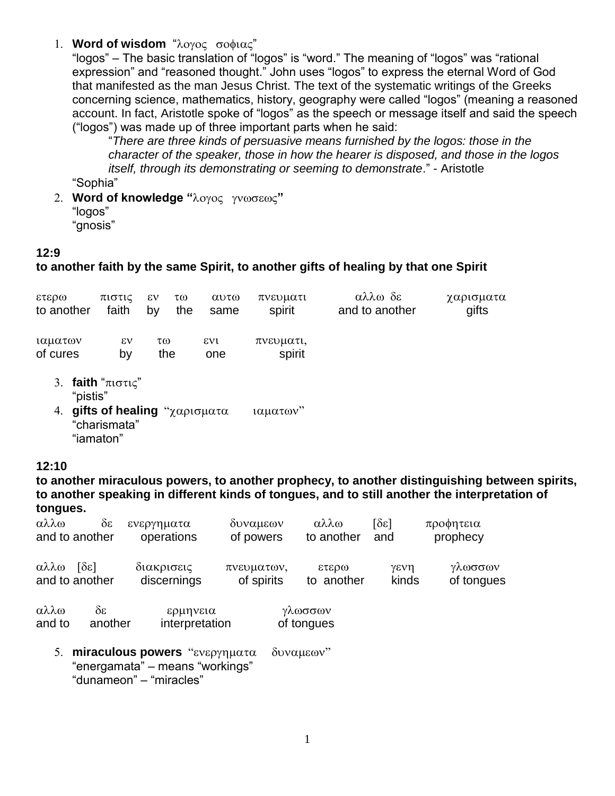## 1. **Word of wisdom** "λογος σοφιας"

"logos" – The basic translation of "logos" is "word." The meaning of "logos" was "rational expression" and "reasoned thought." John uses "logos" to express the eternal Word of God that manifested as the man Jesus Christ. The text of the systematic writings of the Greeks concerning science, mathematics, history, geography were called "logos" (meaning a reasoned account. In fact, Aristotle spoke of "logos" as the speech or message itself and said the speech ("logos") was made up of three important parts when he said:

"*There are three kinds of persuasive means furnished by the logos: those in the character of the speaker, those in how the hearer is disposed, and those in the logos itself, through its demonstrating or seeming to demonstrate*." - Aristotle

- "Sophia"
- 2. Word of knowledge "λογος γνωσεως" "logos" "gnosis"

## **12:9**

## **to another faith by the same Spirit, to another gifts of healing by that one Spirit**

| 0.0373<br>to another | πιστις<br>faith                       | εν<br>τω<br>the<br>by                        | $\alpha$ <sup>0</sup><br>same | πνευματι<br>spirit  | αλλω δε<br>and to another | χαρισματα<br>gifts |
|----------------------|---------------------------------------|----------------------------------------------|-------------------------------|---------------------|---------------------------|--------------------|
| ιαματων<br>of cures  | εν<br>b٧                              | τω<br>the                                    | $\epsilon v$<br>one           | πνευματι,<br>spirit |                           |                    |
| "pistis"             | 3. faith " $\pi$ $\sigma \pi \zeta$ " | $\mathbf{A}$ mifts of healing " $\mathbf{A}$ |                               | $1011076y^2$        |                           |                    |

**gifts of nealing** "χαρισματα ιαματων "charismata" "iamaton"

## **12:10**

**to another miraculous powers, to another prophecy, to another distinguishing between spirits, to another speaking in different kinds of tongues, and to still another the interpretation of tongues.**

| αλλω<br>and to another                                                              | $\delta \mathcal{E}$<br>ενεργηματα<br>operations | δυναμεων<br>of powers    | αλλω<br>to another    | $\lceil \delta \varepsilon \rceil$<br>and | προφητεια<br>prophecy |  |  |  |  |
|-------------------------------------------------------------------------------------|--------------------------------------------------|--------------------------|-----------------------|-------------------------------------------|-----------------------|--|--|--|--|
| $\lceil \delta \varepsilon \rceil$<br>αλλω<br>and to another                        | διακρισεις<br>discernings                        | πνευματων,<br>of spirits | 000373<br>to another  | γενη<br>kinds                             | γλωσσων<br>of tongues |  |  |  |  |
| αλλω<br>δε<br>and to                                                                | ερμηνεια<br>interpretation<br>another            |                          | γλωσσων<br>of tongues |                                           |                       |  |  |  |  |
| miraculous powers "ενεργηματα<br>5.<br>δυναμεων"<br>"energamata" – means "workings" |                                                  |                          |                       |                                           |                       |  |  |  |  |

"dunameon" – "miracles"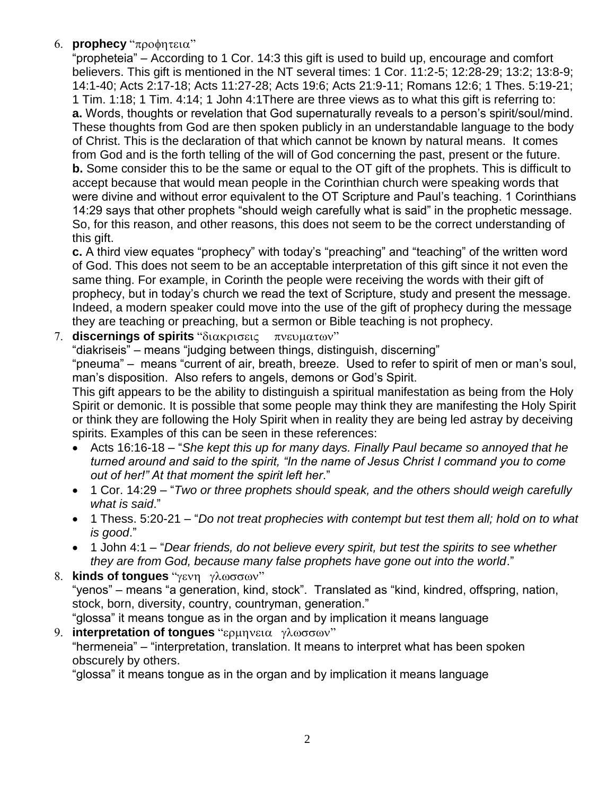6. **prophecy** "προφητεια"

"propheteia" – According to 1 Cor. 14:3 this gift is used to build up, encourage and comfort believers. This gift is mentioned in the NT several times: 1 Cor. 11:2-5; 12:28-29; 13:2; 13:8-9; 14:1-40; Acts 2:17-18; Acts 11:27-28; Acts 19:6; Acts 21:9-11; Romans 12:6; 1 Thes. 5:19-21; 1 Tim. 1:18; 1 Tim. 4:14; 1 John 4:1There are three views as to what this gift is referring to: **a.** Words, thoughts or revelation that God supernaturally reveals to a person's spirit/soul/mind. These thoughts from God are then spoken publicly in an understandable language to the body of Christ. This is the declaration of that which cannot be known by natural means. It comes from God and is the forth telling of the will of God concerning the past, present or the future. **b.** Some consider this to be the same or equal to the OT gift of the prophets. This is difficult to accept because that would mean people in the Corinthian church were speaking words that were divine and without error equivalent to the OT Scripture and Paul's teaching. 1 Corinthians 14:29 says that other prophets "should weigh carefully what is said" in the prophetic message. So, for this reason, and other reasons, this does not seem to be the correct understanding of this gift.

**c.** A third view equates "prophecy" with today's "preaching" and "teaching" of the written word of God. This does not seem to be an acceptable interpretation of this gift since it not even the same thing. For example, in Corinth the people were receiving the words with their gift of prophecy, but in today's church we read the text of Scripture, study and present the message. Indeed, a modern speaker could move into the use of the gift of prophecy during the message they are teaching or preaching, but a sermon or Bible teaching is not prophecy.

7. **discernings of spirits** "διακρισεις πνευματων"

"diakriseis" – means "judging between things, distinguish, discerning"

"pneuma" – means "current of air, breath, breeze. Used to refer to spirit of men or man's soul, man's disposition. Also refers to angels, demons or God's Spirit.

This gift appears to be the ability to distinguish a spiritual manifestation as being from the Holy Spirit or demonic. It is possible that some people may think they are manifesting the Holy Spirit or think they are following the Holy Spirit when in reality they are being led astray by deceiving spirits. Examples of this can be seen in these references:

- Acts 16:16-18 "*She kept this up for many days. Finally Paul became so annoyed that he turned around and said to the spirit, "In the name of Jesus Christ I command you to come out of her!" At that moment the spirit left her*."
- 1 Cor. 14:29 "*Two or three prophets should speak, and the others should weigh carefully what is said*."
- 1 Thess. 5:20-21 "*Do not treat prophecies with contempt but test them all; hold on to what is good*."
- 1 John 4:1 "*Dear friends, do not believe every spirit, but test the spirits to see whether they are from God, because many false prophets have gone out into the world*."

8. **kinds of tongues** "γενη γλωσσων" "yenos" – means "a generation, kind, stock". Translated as "kind, kindred, offspring, nation, stock, born, diversity, country, countryman, generation." "glossa" it means tongue as in the organ and by implication it means language

9. **interpretation of tonques** "ερμηνεια γλωσσων" "hermeneia" – "interpretation, translation. It means to interpret what has been spoken obscurely by others.

"glossa" it means tongue as in the organ and by implication it means language